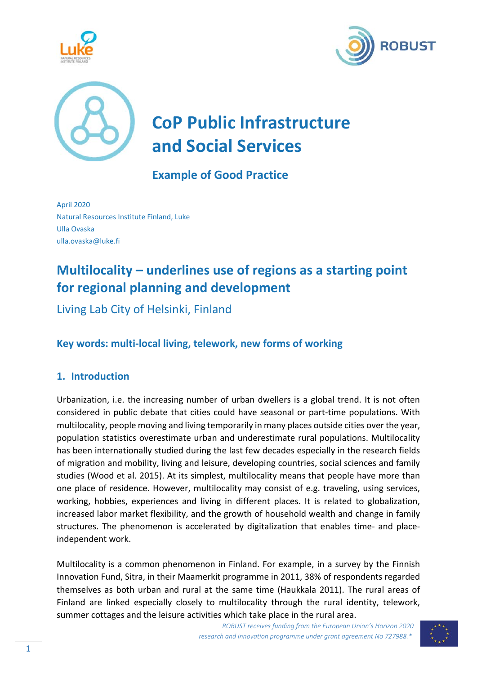





# **CoP Public Infrastructure and Social Services**

## **Example of Good Practice**

April 2020 Natural Resources Institute Finland, Luke Ulla Ovaska ulla.ovaska@luke.fi

# **Multilocality – underlines use of regions as a starting point for regional planning and development**

Living Lab City of Helsinki, Finland

### **Key words: multi‐local living, telework, new forms of working**

#### **1. Introduction**

Urbanization, i.e. the increasing number of urban dwellers is a global trend. It is not often considered in public debate that cities could have seasonal or part‐time populations. With multilocality, people moving and living temporarily in many places outside cities over the year, population statistics overestimate urban and underestimate rural populations. Multilocality has been internationally studied during the last few decades especially in the research fields of migration and mobility, living and leisure, developing countries, social sciences and family studies (Wood et al. 2015). At its simplest, multilocality means that people have more than one place of residence. However, multilocality may consist of e.g. traveling, using services, working, hobbies, experiences and living in different places. It is related to globalization, increased labor market flexibility, and the growth of household wealth and change in family structures. The phenomenon is accelerated by digitalization that enables time- and placeindependent work.

Multilocality is a common phenomenon in Finland. For example, in a survey by the Finnish Innovation Fund, Sitra, in their Maamerkit programme in 2011, 38% of respondents regarded themselves as both urban and rural at the same time (Haukkala 2011). The rural areas of Finland are linked especially closely to multilocality through the rural identity, telework, summer cottages and the leisure activities which take place in the rural area.

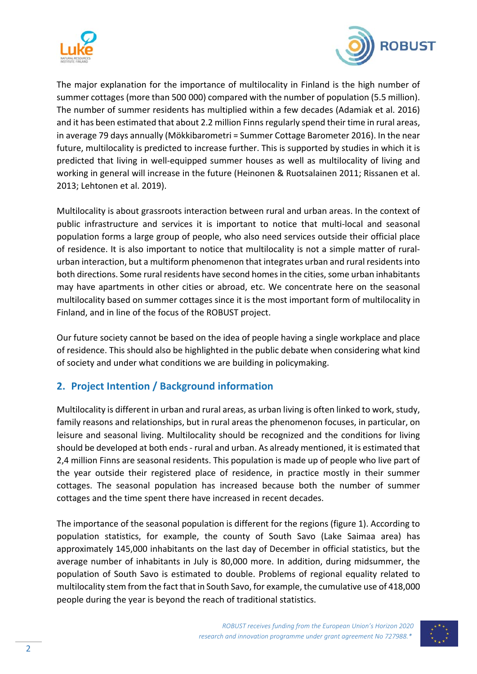



The major explanation for the importance of multilocality in Finland is the high number of summer cottages (more than 500 000) compared with the number of population (5.5 million). The number of summer residents has multiplied within a few decades (Adamiak et al. 2016) and it has been estimated that about 2.2 million Finns regularly spend their time in rural areas, in average 79 days annually (Mökkibarometri = Summer Cottage Barometer 2016). In the near future, multilocality is predicted to increase further. This is supported by studies in which it is predicted that living in well‐equipped summer houses as well as multilocality of living and working in general will increase in the future (Heinonen & Ruotsalainen 2011; Rissanen et al. 2013; Lehtonen et al. 2019).

Multilocality is about grassroots interaction between rural and urban areas. In the context of public infrastructure and services it is important to notice that multi-local and seasonal population forms a large group of people, who also need services outside their official place of residence. It is also important to notice that multilocality is not a simple matter of rural‐ urban interaction, but a multiform phenomenon that integrates urban and rural residents into both directions. Some rural residents have second homes in the cities, some urban inhabitants may have apartments in other cities or abroad, etc. We concentrate here on the seasonal multilocality based on summer cottages since it is the most important form of multilocality in Finland, and in line of the focus of the ROBUST project.

Our future society cannot be based on the idea of people having a single workplace and place of residence. This should also be highlighted in the public debate when considering what kind of society and under what conditions we are building in policymaking.

#### **2. Project Intention / Background information**

Multilocality is different in urban and rural areas, as urban living is often linked to work, study, family reasons and relationships, but in rural areas the phenomenon focuses, in particular, on leisure and seasonal living. Multilocality should be recognized and the conditions for living should be developed at both ends ‐ rural and urban. As already mentioned, it is estimated that 2,4 million Finns are seasonal residents. This population is made up of people who live part of the year outside their registered place of residence, in practice mostly in their summer cottages. The seasonal population has increased because both the number of summer cottages and the time spent there have increased in recent decades.

The importance of the seasonal population is different for the regions (figure 1). According to population statistics, for example, the county of South Savo (Lake Saimaa area) has approximately 145,000 inhabitants on the last day of December in official statistics, but the average number of inhabitants in July is 80,000 more. In addition, during midsummer, the population of South Savo is estimated to double. Problems of regional equality related to multilocality stem from the fact that in South Savo, for example, the cumulative use of 418,000 people during the year is beyond the reach of traditional statistics.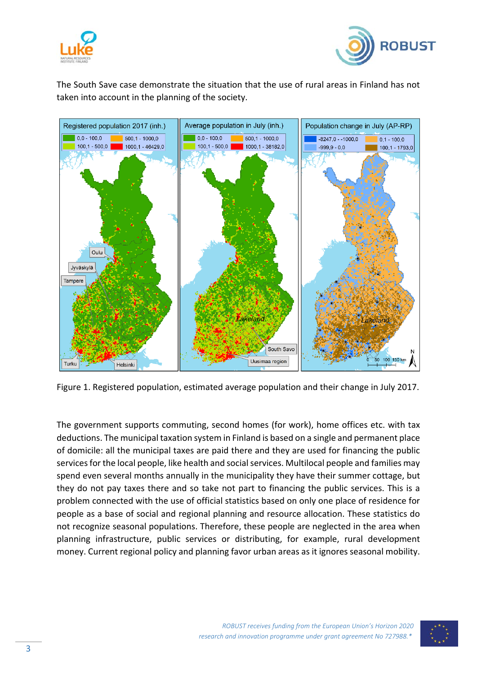



The South Save case demonstrate the situation that the use of rural areas in Finland has not taken into account in the planning of the society.



Figure 1. Registered population, estimated average population and their change in July 2017.

The government supports commuting, second homes (for work), home offices etc. with tax deductions. The municipal taxation system in Finland is based on a single and permanent place of domicile: all the municipal taxes are paid there and they are used for financing the public services for the local people, like health and social services. Multilocal people and families may spend even several months annually in the municipality they have their summer cottage, but they do not pay taxes there and so take not part to financing the public services. This is a problem connected with the use of official statistics based on only one place of residence for people as a base of social and regional planning and resource allocation. These statistics do not recognize seasonal populations. Therefore, these people are neglected in the area when planning infrastructure, public services or distributing, for example, rural development money. Current regional policy and planning favor urban areas as it ignores seasonal mobility.

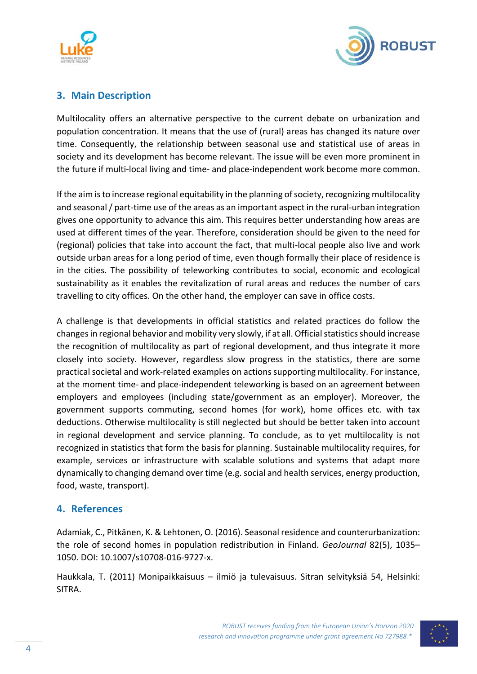



#### **3. Main Description**

Multilocality offers an alternative perspective to the current debate on urbanization and population concentration. It means that the use of (rural) areas has changed its nature over time. Consequently, the relationship between seasonal use and statistical use of areas in society and its development has become relevant. The issue will be even more prominent in the future if multi‐local living and time‐ and place‐independent work become more common.

If the aim is to increase regional equitability in the planning of society, recognizing multilocality and seasonal / part-time use of the areas as an important aspect in the rural-urban integration gives one opportunity to advance this aim. This requires better understanding how areas are used at different times of the year. Therefore, consideration should be given to the need for (regional) policies that take into account the fact, that multi‐local people also live and work outside urban areas for a long period of time, even though formally their place of residence is in the cities. The possibility of teleworking contributes to social, economic and ecological sustainability as it enables the revitalization of rural areas and reduces the number of cars travelling to city offices. On the other hand, the employer can save in office costs.

A challenge is that developments in official statistics and related practices do follow the changes in regional behavior and mobility very slowly, if at all. Official statistics should increase the recognition of multilocality as part of regional development, and thus integrate it more closely into society. However, regardless slow progress in the statistics, there are some practical societal and work‐related examples on actions supporting multilocality. For instance, at the moment time‐ and place‐independent teleworking is based on an agreement between employers and employees (including state/government as an employer). Moreover, the government supports commuting, second homes (for work), home offices etc. with tax deductions. Otherwise multilocality is still neglected but should be better taken into account in regional development and service planning. To conclude, as to yet multilocality is not recognized in statistics that form the basis for planning. Sustainable multilocality requires, for example, services or infrastructure with scalable solutions and systems that adapt more dynamically to changing demand over time (e.g. social and health services, energy production, food, waste, transport).

#### **4. References**

Adamiak, C., Pitkänen, K. & Lehtonen, O. (2016). Seasonal residence and counterurbanization: the role of second homes in population redistribution in Finland. *GeoJournal* 82(5), 1035– 1050. DOI: 10.1007/s10708‐016‐9727‐x.

Haukkala, T. (2011) Monipaikkaisuus – ilmiö ja tulevaisuus. Sitran selvityksiä 54, Helsinki: SITRA.